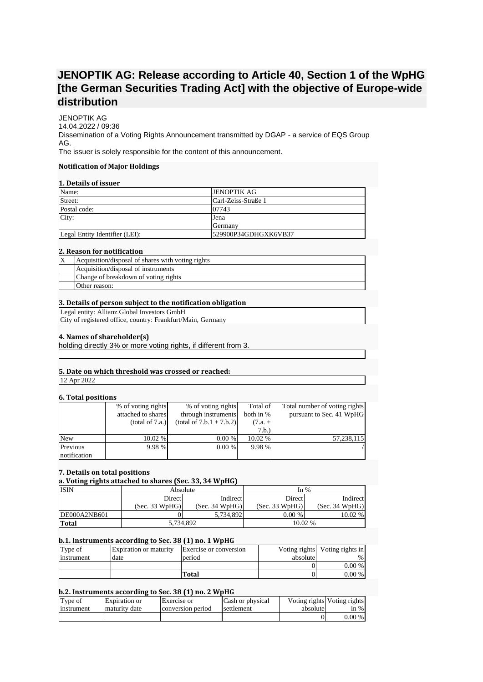# **JENOPTIK AG: Release according to Article 40, Section 1 of the WpHG [the German Securities Trading Act] with the objective of Europe-wide distribution**

JENOPTIK AG 14.04.2022 / 09:36 Dissemination of a Voting Rights Announcement transmitted by DGAP - a service of EQS Group AG. The issuer is solely responsible for the content of this announcement.

## **Notification of Major Holdings**

# **1. Details of issuer**

| Name:                          | <b>JENOPTIK AG</b>   |
|--------------------------------|----------------------|
| Street:                        | Carl-Zeiss-Straße 1  |
| Postal code:                   | 07743                |
| City:                          | Jena                 |
|                                | <b>IGermany</b>      |
| Legal Entity Identifier (LEI): | 529900P34GDHGXK6VB37 |

## **2. Reason for notification**

| Acquisition/disposal of shares with voting rights |
|---------------------------------------------------|
| Acquisition/disposal of instruments               |
| Change of breakdown of voting rights              |
| Other reason:                                     |

## **3. Details of person subject to the notification obligation**

Legal entity: Allianz Global Investors GmbH City of registered office, country: Frankfurt/Main, Germany

## **4. Names of shareholder(s)**

holding directly 3% or more voting rights, if different from 3.

# **5. Date on which threshold was crossed or reached:**

12 Apr 2022

#### **6. Total positions**

|              | % of voting rights | % of voting rights         | Total of  | Total number of voting rights |
|--------------|--------------------|----------------------------|-----------|-------------------------------|
|              | attached to shares | through instruments        | both in % | pursuant to Sec. 41 WpHG      |
|              | (total of 7.a.)    | $(total of 7.b.1 + 7.b.2)$ | $(7.a. +$ |                               |
|              |                    |                            | 7.b.)     |                               |
| <b>New</b>   | $10.02\%$          | 0.00 %                     | 10.02 %   | 57,238,115                    |
| Previous     | 9.98 %             | 0.00 %                     | 9.98 %    |                               |
| notification |                    |                            |           |                               |

#### **7. Details on total positions**

| a. Voting rights attached to shares (Sec. 33, 34 WpHG) |                |                |                |                |  |  |
|--------------------------------------------------------|----------------|----------------|----------------|----------------|--|--|
| <b>ISIN</b>                                            | Absolute       |                | In $%$         |                |  |  |
|                                                        | <b>Direct</b>  | Indirect       | Direct         | Indirect       |  |  |
|                                                        | (Sec. 33 WpHG) | (Sec. 34 WpHG) | (Sec. 33 WpHG) | (Sec. 34 WpHG) |  |  |
| DE000A2NB601                                           |                | 5.734.892      | 0.00%          | 10.02 %        |  |  |
| <b>Total</b>                                           | 5,734,892      |                | 10.02 %        |                |  |  |

# **b.1. Instruments according to Sec. 38 (1) no. 1 WpHG**

| Type of    | <b>Expiration or maturity</b> | Exercise or conversion |          | Voting rights Voting rights in |
|------------|-------------------------------|------------------------|----------|--------------------------------|
| instrument | date                          | period                 | absolute | $\%$                           |
|            |                               |                        |          | $0.00\%$                       |
|            |                               | Total                  |          | $0.00\%$                       |

# **b.2. Instruments according to Sec. 38 (1) no. 2 WpHG**

| Type of    | Expiration or | Exercise or       | Cash or physical | Voting rights Voting rights |          |
|------------|---------------|-------------------|------------------|-----------------------------|----------|
| Instrument | maturity date | conversion period | settlement       | absolute                    | in $%$   |
|            |               |                   |                  | 0                           | $0.00\%$ |